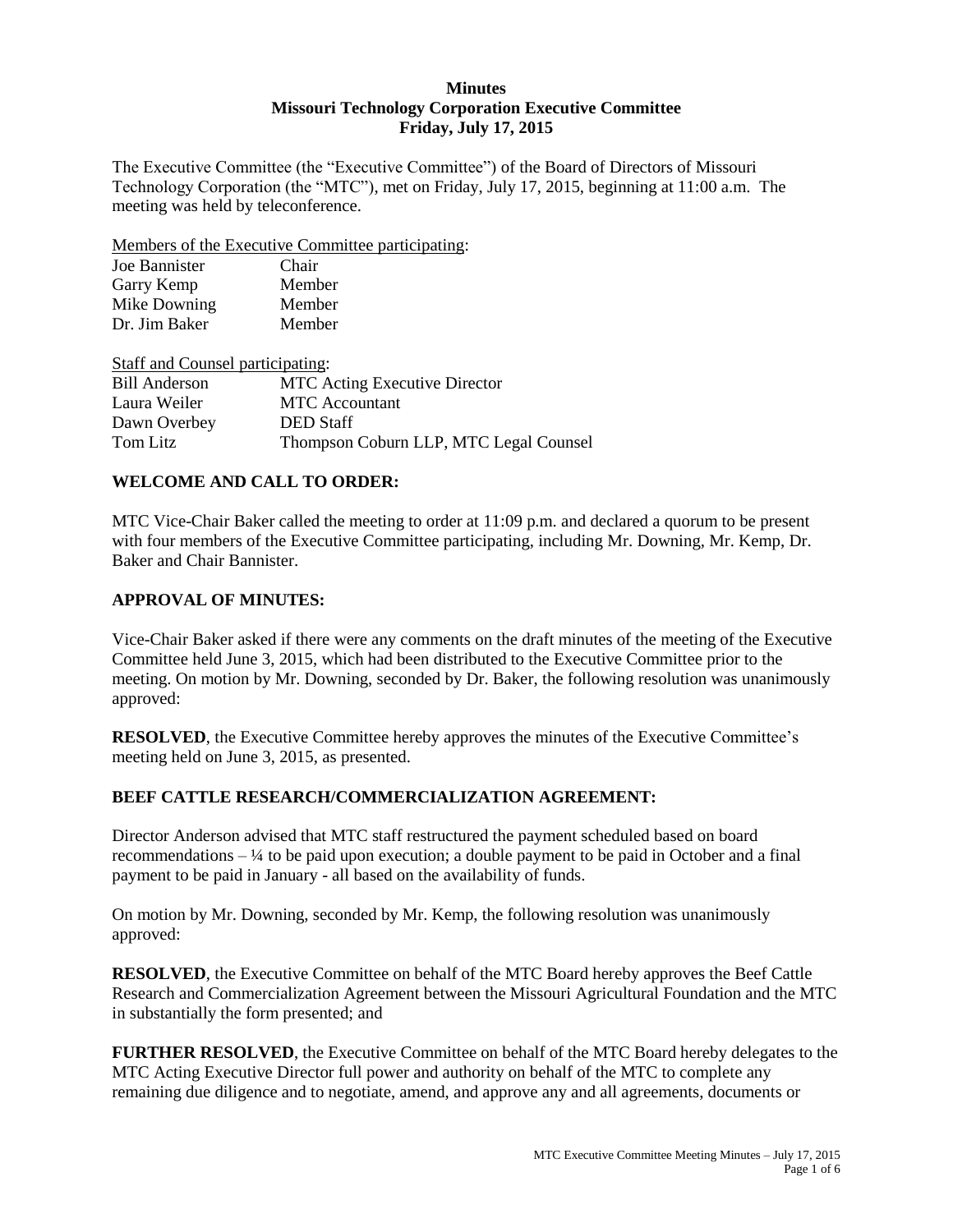### **Minutes Missouri Technology Corporation Executive Committee Friday, July 17, 2015**

The Executive Committee (the "Executive Committee") of the Board of Directors of Missouri Technology Corporation (the "MTC"), met on Friday, July 17, 2015, beginning at 11:00 a.m. The meeting was held by teleconference.

Members of the Executive Committee participating:

| Chair  |
|--------|
| Member |
| Member |
| Member |
|        |

| Staff and Counsel participating: |                                        |
|----------------------------------|----------------------------------------|
| <b>Bill Anderson</b>             | <b>MTC</b> Acting Executive Director   |
| Laura Weiler                     | <b>MTC</b> Accountant                  |
| Dawn Overbey                     | <b>DED</b> Staff                       |
| Tom Litz                         | Thompson Coburn LLP, MTC Legal Counsel |

### **WELCOME AND CALL TO ORDER:**

MTC Vice-Chair Baker called the meeting to order at 11:09 p.m. and declared a quorum to be present with four members of the Executive Committee participating, including Mr. Downing, Mr. Kemp, Dr. Baker and Chair Bannister.

### **APPROVAL OF MINUTES:**

Vice-Chair Baker asked if there were any comments on the draft minutes of the meeting of the Executive Committee held June 3, 2015, which had been distributed to the Executive Committee prior to the meeting. On motion by Mr. Downing, seconded by Dr. Baker, the following resolution was unanimously approved:

**RESOLVED**, the Executive Committee hereby approves the minutes of the Executive Committee's meeting held on June 3, 2015, as presented.

# **BEEF CATTLE RESEARCH/COMMERCIALIZATION AGREEMENT:**

Director Anderson advised that MTC staff restructured the payment scheduled based on board recommendations  $-$  1/4 to be paid upon execution; a double payment to be paid in October and a final payment to be paid in January - all based on the availability of funds.

On motion by Mr. Downing, seconded by Mr. Kemp, the following resolution was unanimously approved:

**RESOLVED**, the Executive Committee on behalf of the MTC Board hereby approves the Beef Cattle Research and Commercialization Agreement between the Missouri Agricultural Foundation and the MTC in substantially the form presented; and

FURTHER RESOLVED, the Executive Committee on behalf of the MTC Board hereby delegates to the MTC Acting Executive Director full power and authority on behalf of the MTC to complete any remaining due diligence and to negotiate, amend, and approve any and all agreements, documents or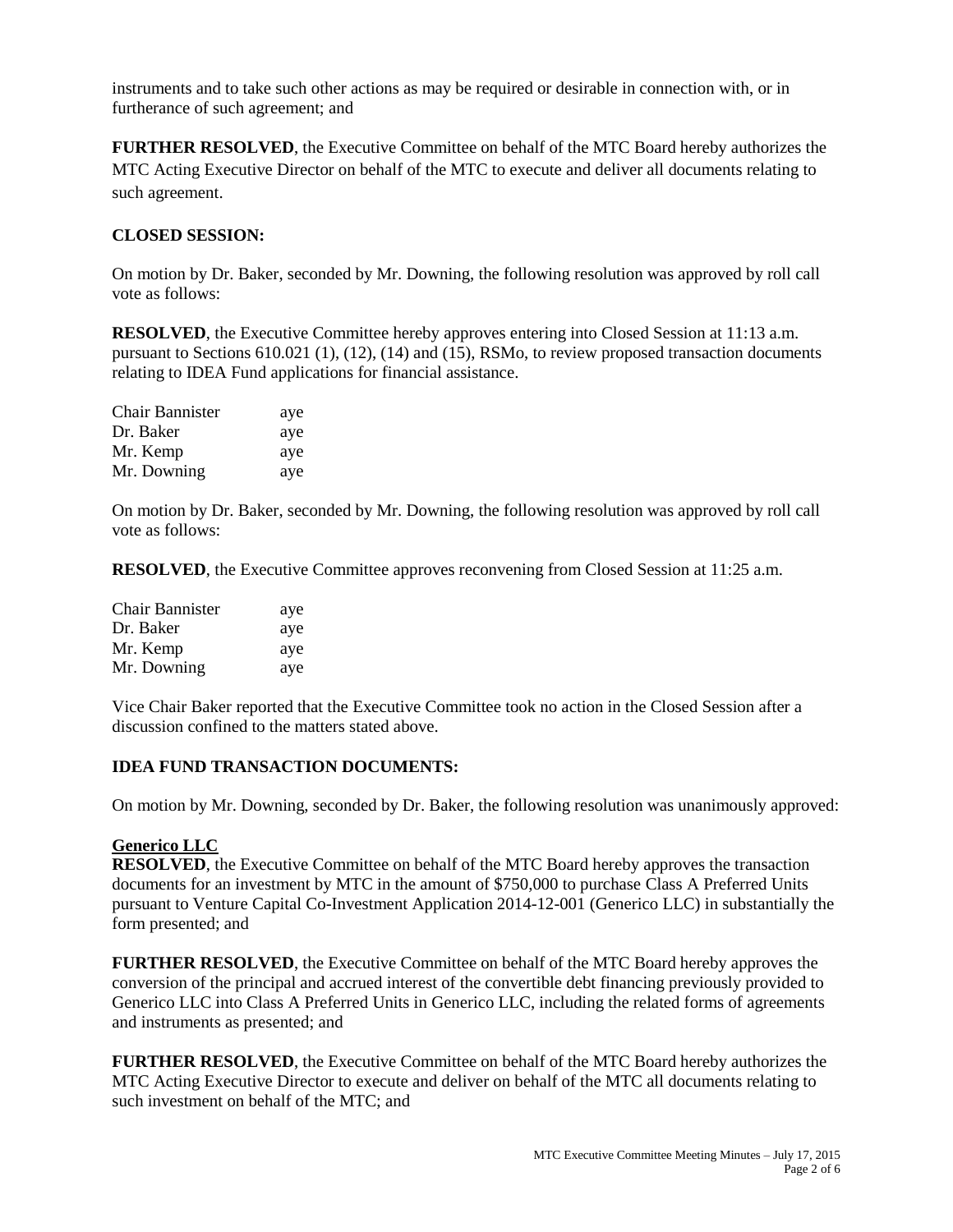instruments and to take such other actions as may be required or desirable in connection with, or in furtherance of such agreement; and

**FURTHER RESOLVED**, the Executive Committee on behalf of the MTC Board hereby authorizes the MTC Acting Executive Director on behalf of the MTC to execute and deliver all documents relating to such agreement.

### **CLOSED SESSION:**

On motion by Dr. Baker, seconded by Mr. Downing, the following resolution was approved by roll call vote as follows:

**RESOLVED**, the Executive Committee hereby approves entering into Closed Session at 11:13 a.m. pursuant to Sections 610.021 (1), (12), (14) and (15), RSMo, to review proposed transaction documents relating to IDEA Fund applications for financial assistance.

| <b>Chair Bannister</b> | aye |
|------------------------|-----|
| Dr. Baker              | aye |
| Mr. Kemp               | aye |
| Mr. Downing            | aye |

On motion by Dr. Baker, seconded by Mr. Downing, the following resolution was approved by roll call vote as follows:

**RESOLVED**, the Executive Committee approves reconvening from Closed Session at 11:25 a.m.

| Chair Bannister | aye |
|-----------------|-----|
| Dr. Baker       | aye |
| Mr. Kemp        | aye |
| Mr. Downing     | aye |

Vice Chair Baker reported that the Executive Committee took no action in the Closed Session after a discussion confined to the matters stated above.

### **IDEA FUND TRANSACTION DOCUMENTS:**

On motion by Mr. Downing, seconded by Dr. Baker, the following resolution was unanimously approved:

### **Generico LLC**

**RESOLVED**, the Executive Committee on behalf of the MTC Board hereby approves the transaction documents for an investment by MTC in the amount of \$750,000 to purchase Class A Preferred Units pursuant to Venture Capital Co-Investment Application 2014-12-001 (Generico LLC) in substantially the form presented; and

**FURTHER RESOLVED**, the Executive Committee on behalf of the MTC Board hereby approves the conversion of the principal and accrued interest of the convertible debt financing previously provided to Generico LLC into Class A Preferred Units in Generico LLC, including the related forms of agreements and instruments as presented; and

**FURTHER RESOLVED**, the Executive Committee on behalf of the MTC Board hereby authorizes the MTC Acting Executive Director to execute and deliver on behalf of the MTC all documents relating to such investment on behalf of the MTC; and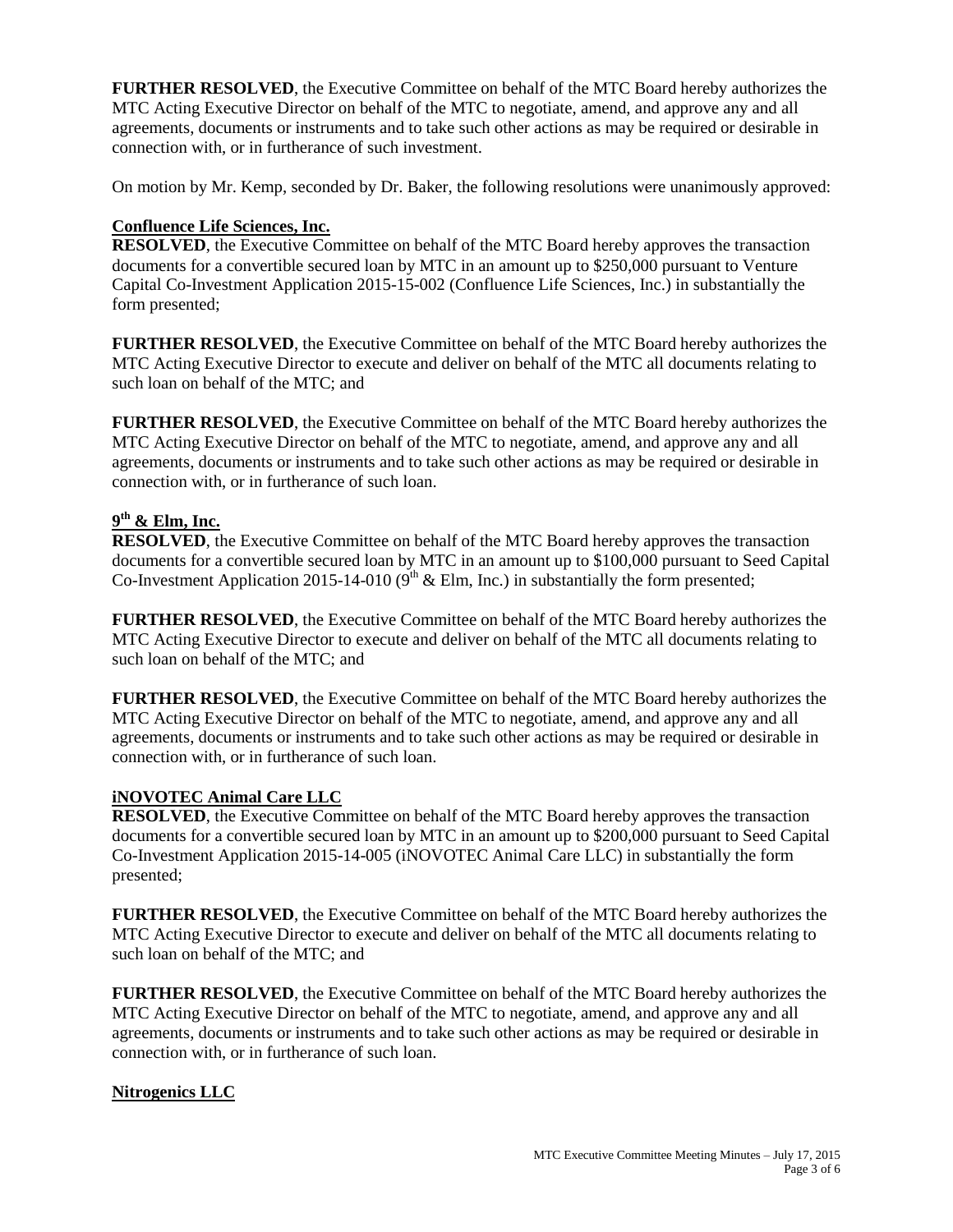**FURTHER RESOLVED**, the Executive Committee on behalf of the MTC Board hereby authorizes the MTC Acting Executive Director on behalf of the MTC to negotiate, amend, and approve any and all agreements, documents or instruments and to take such other actions as may be required or desirable in connection with, or in furtherance of such investment.

On motion by Mr. Kemp, seconded by Dr. Baker, the following resolutions were unanimously approved:

# **Confluence Life Sciences, Inc.**

**RESOLVED**, the Executive Committee on behalf of the MTC Board hereby approves the transaction documents for a convertible secured loan by MTC in an amount up to \$250,000 pursuant to Venture Capital Co-Investment Application 2015-15-002 (Confluence Life Sciences, Inc.) in substantially the form presented;

**FURTHER RESOLVED**, the Executive Committee on behalf of the MTC Board hereby authorizes the MTC Acting Executive Director to execute and deliver on behalf of the MTC all documents relating to such loan on behalf of the MTC; and

**FURTHER RESOLVED**, the Executive Committee on behalf of the MTC Board hereby authorizes the MTC Acting Executive Director on behalf of the MTC to negotiate, amend, and approve any and all agreements, documents or instruments and to take such other actions as may be required or desirable in connection with, or in furtherance of such loan.

# **9 th & Elm, Inc.**

**RESOLVED**, the Executive Committee on behalf of the MTC Board hereby approves the transaction documents for a convertible secured loan by MTC in an amount up to \$100,000 pursuant to Seed Capital Co-Investment Application 2015-14-010 ( $9<sup>th</sup>$  & Elm, Inc.) in substantially the form presented;

**FURTHER RESOLVED**, the Executive Committee on behalf of the MTC Board hereby authorizes the MTC Acting Executive Director to execute and deliver on behalf of the MTC all documents relating to such loan on behalf of the MTC; and

**FURTHER RESOLVED**, the Executive Committee on behalf of the MTC Board hereby authorizes the MTC Acting Executive Director on behalf of the MTC to negotiate, amend, and approve any and all agreements, documents or instruments and to take such other actions as may be required or desirable in connection with, or in furtherance of such loan.

### **iNOVOTEC Animal Care LLC**

**RESOLVED**, the Executive Committee on behalf of the MTC Board hereby approves the transaction documents for a convertible secured loan by MTC in an amount up to \$200,000 pursuant to Seed Capital Co-Investment Application 2015-14-005 (iNOVOTEC Animal Care LLC) in substantially the form presented;

**FURTHER RESOLVED**, the Executive Committee on behalf of the MTC Board hereby authorizes the MTC Acting Executive Director to execute and deliver on behalf of the MTC all documents relating to such loan on behalf of the MTC; and

**FURTHER RESOLVED**, the Executive Committee on behalf of the MTC Board hereby authorizes the MTC Acting Executive Director on behalf of the MTC to negotiate, amend, and approve any and all agreements, documents or instruments and to take such other actions as may be required or desirable in connection with, or in furtherance of such loan.

### **Nitrogenics LLC**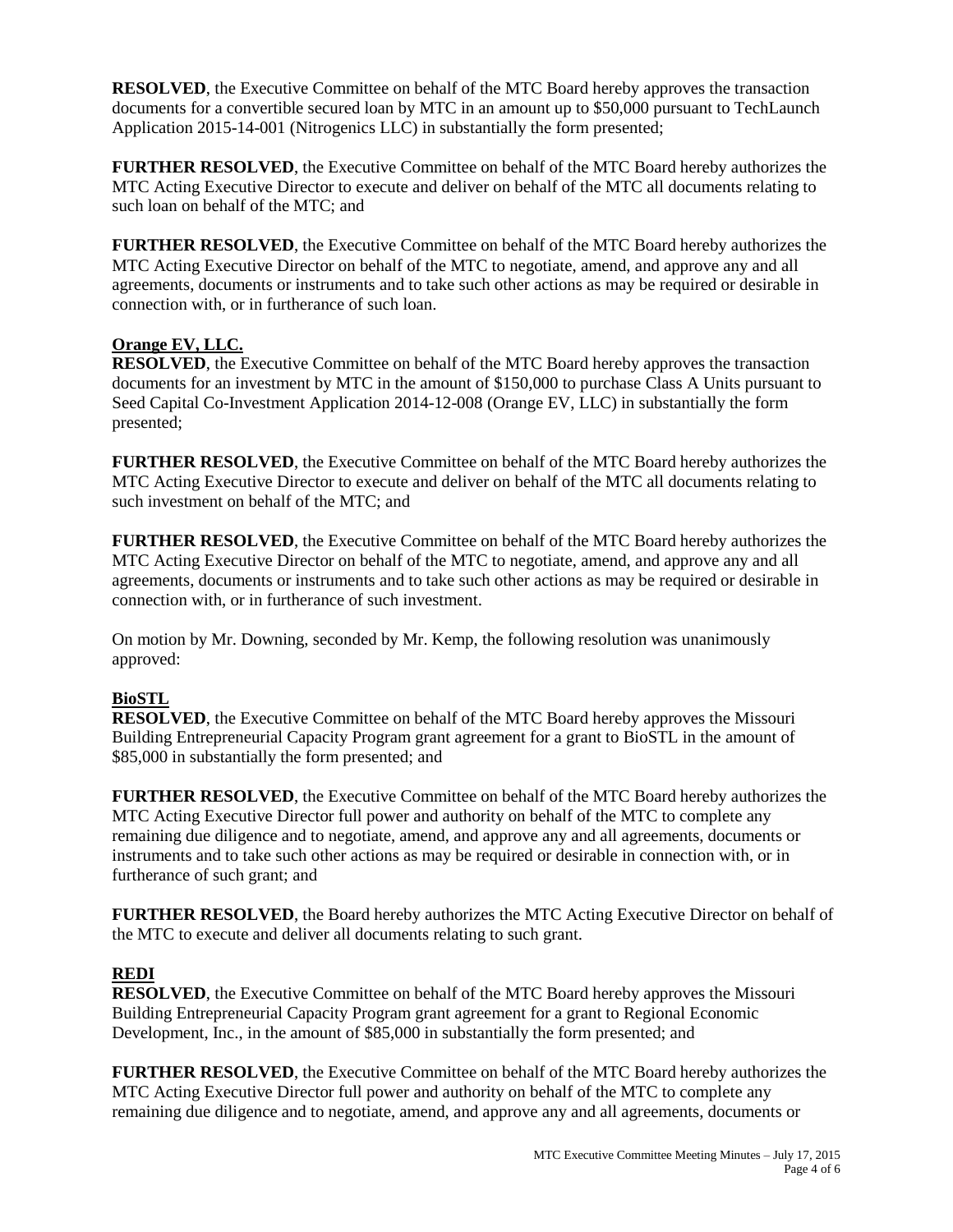**RESOLVED**, the Executive Committee on behalf of the MTC Board hereby approves the transaction documents for a convertible secured loan by MTC in an amount up to \$50,000 pursuant to TechLaunch Application 2015-14-001 (Nitrogenics LLC) in substantially the form presented;

**FURTHER RESOLVED**, the Executive Committee on behalf of the MTC Board hereby authorizes the MTC Acting Executive Director to execute and deliver on behalf of the MTC all documents relating to such loan on behalf of the MTC; and

**FURTHER RESOLVED**, the Executive Committee on behalf of the MTC Board hereby authorizes the MTC Acting Executive Director on behalf of the MTC to negotiate, amend, and approve any and all agreements, documents or instruments and to take such other actions as may be required or desirable in connection with, or in furtherance of such loan.

### **Orange EV, LLC.**

**RESOLVED**, the Executive Committee on behalf of the MTC Board hereby approves the transaction documents for an investment by MTC in the amount of \$150,000 to purchase Class A Units pursuant to Seed Capital Co-Investment Application 2014-12-008 (Orange EV, LLC) in substantially the form presented;

**FURTHER RESOLVED**, the Executive Committee on behalf of the MTC Board hereby authorizes the MTC Acting Executive Director to execute and deliver on behalf of the MTC all documents relating to such investment on behalf of the MTC; and

**FURTHER RESOLVED**, the Executive Committee on behalf of the MTC Board hereby authorizes the MTC Acting Executive Director on behalf of the MTC to negotiate, amend, and approve any and all agreements, documents or instruments and to take such other actions as may be required or desirable in connection with, or in furtherance of such investment.

On motion by Mr. Downing, seconded by Mr. Kemp, the following resolution was unanimously approved:

# **BioSTL**

**RESOLVED**, the Executive Committee on behalf of the MTC Board hereby approves the Missouri Building Entrepreneurial Capacity Program grant agreement for a grant to BioSTL in the amount of \$85,000 in substantially the form presented; and

**FURTHER RESOLVED**, the Executive Committee on behalf of the MTC Board hereby authorizes the MTC Acting Executive Director full power and authority on behalf of the MTC to complete any remaining due diligence and to negotiate, amend, and approve any and all agreements, documents or instruments and to take such other actions as may be required or desirable in connection with, or in furtherance of such grant; and

**FURTHER RESOLVED**, the Board hereby authorizes the MTC Acting Executive Director on behalf of the MTC to execute and deliver all documents relating to such grant.

# **REDI**

**RESOLVED**, the Executive Committee on behalf of the MTC Board hereby approves the Missouri Building Entrepreneurial Capacity Program grant agreement for a grant to Regional Economic Development, Inc., in the amount of \$85,000 in substantially the form presented; and

**FURTHER RESOLVED**, the Executive Committee on behalf of the MTC Board hereby authorizes the MTC Acting Executive Director full power and authority on behalf of the MTC to complete any remaining due diligence and to negotiate, amend, and approve any and all agreements, documents or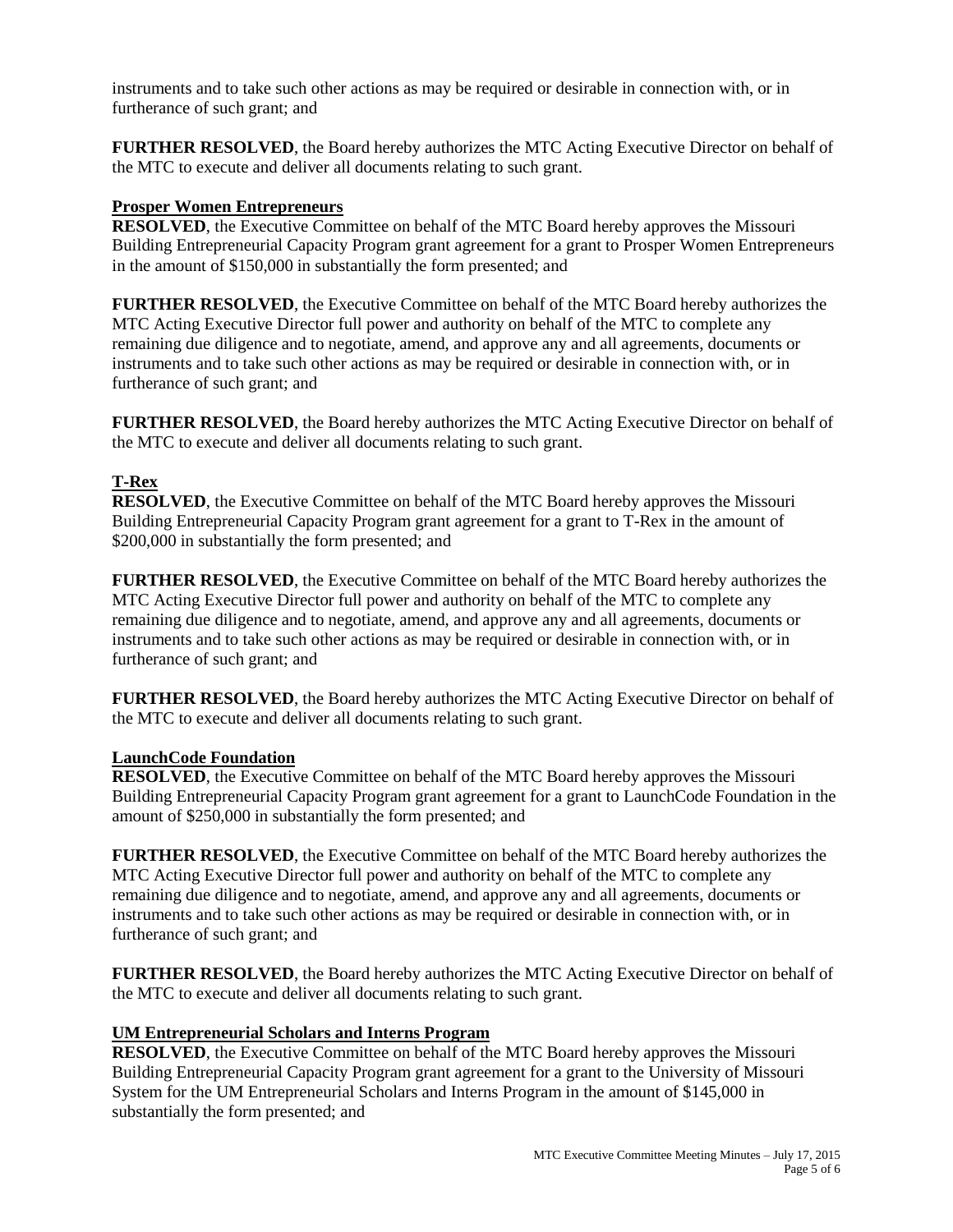instruments and to take such other actions as may be required or desirable in connection with, or in furtherance of such grant; and

**FURTHER RESOLVED**, the Board hereby authorizes the MTC Acting Executive Director on behalf of the MTC to execute and deliver all documents relating to such grant.

#### **Prosper Women Entrepreneurs**

**RESOLVED**, the Executive Committee on behalf of the MTC Board hereby approves the Missouri Building Entrepreneurial Capacity Program grant agreement for a grant to Prosper Women Entrepreneurs in the amount of \$150,000 in substantially the form presented; and

**FURTHER RESOLVED**, the Executive Committee on behalf of the MTC Board hereby authorizes the MTC Acting Executive Director full power and authority on behalf of the MTC to complete any remaining due diligence and to negotiate, amend, and approve any and all agreements, documents or instruments and to take such other actions as may be required or desirable in connection with, or in furtherance of such grant; and

**FURTHER RESOLVED**, the Board hereby authorizes the MTC Acting Executive Director on behalf of the MTC to execute and deliver all documents relating to such grant.

### **T-Rex**

**RESOLVED**, the Executive Committee on behalf of the MTC Board hereby approves the Missouri Building Entrepreneurial Capacity Program grant agreement for a grant to T-Rex in the amount of \$200,000 in substantially the form presented; and

**FURTHER RESOLVED**, the Executive Committee on behalf of the MTC Board hereby authorizes the MTC Acting Executive Director full power and authority on behalf of the MTC to complete any remaining due diligence and to negotiate, amend, and approve any and all agreements, documents or instruments and to take such other actions as may be required or desirable in connection with, or in furtherance of such grant; and

**FURTHER RESOLVED**, the Board hereby authorizes the MTC Acting Executive Director on behalf of the MTC to execute and deliver all documents relating to such grant.

#### **LaunchCode Foundation**

**RESOLVED**, the Executive Committee on behalf of the MTC Board hereby approves the Missouri Building Entrepreneurial Capacity Program grant agreement for a grant to LaunchCode Foundation in the amount of \$250,000 in substantially the form presented; and

**FURTHER RESOLVED**, the Executive Committee on behalf of the MTC Board hereby authorizes the MTC Acting Executive Director full power and authority on behalf of the MTC to complete any remaining due diligence and to negotiate, amend, and approve any and all agreements, documents or instruments and to take such other actions as may be required or desirable in connection with, or in furtherance of such grant; and

**FURTHER RESOLVED**, the Board hereby authorizes the MTC Acting Executive Director on behalf of the MTC to execute and deliver all documents relating to such grant.

#### **UM Entrepreneurial Scholars and Interns Program**

**RESOLVED**, the Executive Committee on behalf of the MTC Board hereby approves the Missouri Building Entrepreneurial Capacity Program grant agreement for a grant to the University of Missouri System for the UM Entrepreneurial Scholars and Interns Program in the amount of \$145,000 in substantially the form presented; and